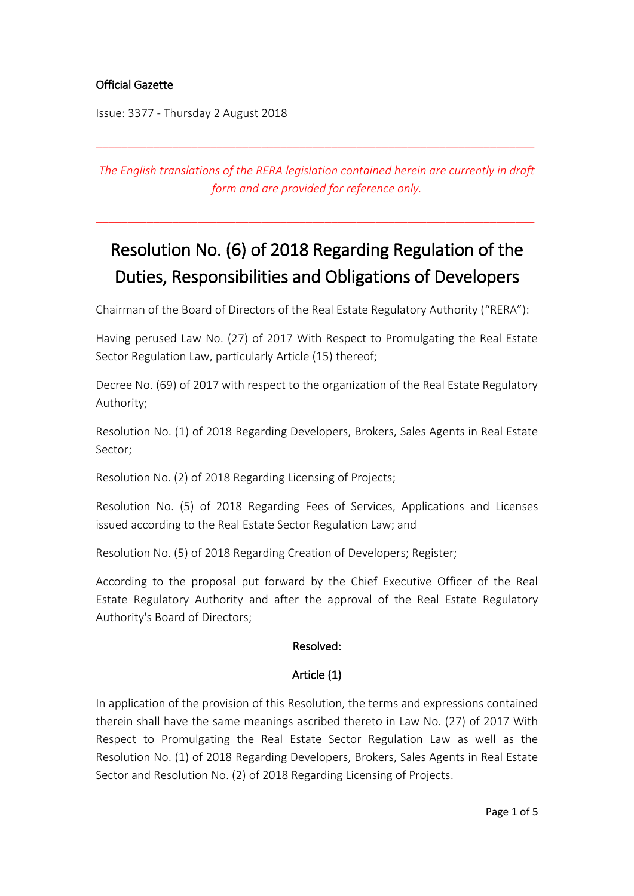# Official Gazette

Issue: 3377 - Thursday 2 August 2018

*The English translations of the RERA legislation contained herein are currently in draft form and are provided for reference only.*

\_\_\_\_\_\_\_\_\_\_\_\_\_\_\_\_\_\_\_\_\_\_\_\_\_\_\_\_\_\_\_\_\_\_\_\_\_\_\_\_\_\_\_\_\_\_\_\_\_\_\_\_\_\_\_\_\_\_\_\_\_\_\_\_\_\_\_\_\_

\_\_\_\_\_\_\_\_\_\_\_\_\_\_\_\_\_\_\_\_\_\_\_\_\_\_\_\_\_\_\_\_\_\_\_\_\_\_\_\_\_\_\_\_\_\_\_\_\_\_\_\_\_\_\_\_\_\_\_\_\_\_\_\_\_\_\_\_\_

# Resolution No. (6) of 2018 Regarding Regulation of the Duties, Responsibilities and Obligations of Developers

Chairman of the Board of Directors of the Real Estate Regulatory Authority ("RERA"):

Having perused Law No. (27) of 2017 With Respect to Promulgating the Real Estate Sector Regulation Law, particularly Article (15) thereof;

Decree No. (69) of 2017 with respect to the organization of the Real Estate Regulatory Authority;

Resolution No. (1) of 2018 Regarding Developers, Brokers, Sales Agents in Real Estate Sector;

Resolution No. (2) of 2018 Regarding Licensing of Projects;

Resolution No. (5) of 2018 Regarding Fees of Services, Applications and Licenses issued according to the Real Estate Sector Regulation Law; and

Resolution No. (5) of 2018 Regarding Creation of Developers; Register;

According to the proposal put forward by the Chief Executive Officer of the Real Estate Regulatory Authority and after the approval of the Real Estate Regulatory Authority's Board of Directors;

# Resolved:

# Article (1)

In application of the provision of this Resolution, the terms and expressions contained therein shall have the same meanings ascribed thereto in Law No. (27) of 2017 With Respect to Promulgating the Real Estate Sector Regulation Law as well as the Resolution No. (1) of 2018 Regarding Developers, Brokers, Sales Agents in Real Estate Sector and Resolution No. (2) of 2018 Regarding Licensing of Projects.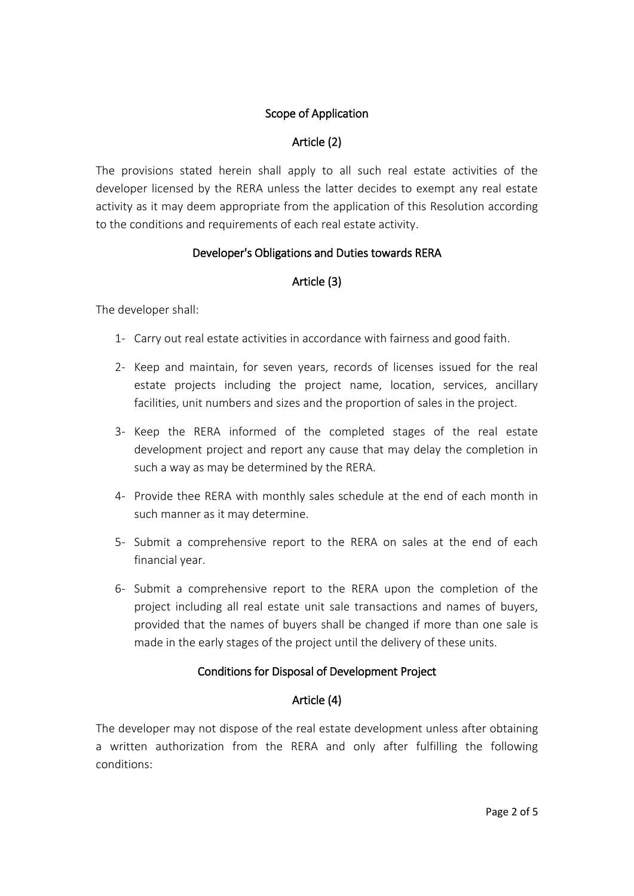# Scope of Application

## Article (2)

The provisions stated herein shall apply to all such real estate activities of the developer licensed by the RERA unless the latter decides to exempt any real estate activity as it may deem appropriate from the application of this Resolution according to the conditions and requirements of each real estate activity.

## Developer's Obligations and Duties towards RERA

# Article (3)

The developer shall:

- 1- Carry out real estate activities in accordance with fairness and good faith.
- 2- Keep and maintain, for seven years, records of licenses issued for the real estate projects including the project name, location, services, ancillary facilities, unit numbers and sizes and the proportion of sales in the project.
- 3- Keep the RERA informed of the completed stages of the real estate development project and report any cause that may delay the completion in such a way as may be determined by the RERA.
- 4- Provide thee RERA with monthly sales schedule at the end of each month in such manner as it may determine.
- 5- Submit a comprehensive report to the RERA on sales at the end of each financial year.
- 6- Submit a comprehensive report to the RERA upon the completion of the project including all real estate unit sale transactions and names of buyers, provided that the names of buyers shall be changed if more than one sale is made in the early stages of the project until the delivery of these units.

# Conditions for Disposal of Development Project

# Article (4)

The developer may not dispose of the real estate development unless after obtaining a written authorization from the RERA and only after fulfilling the following conditions: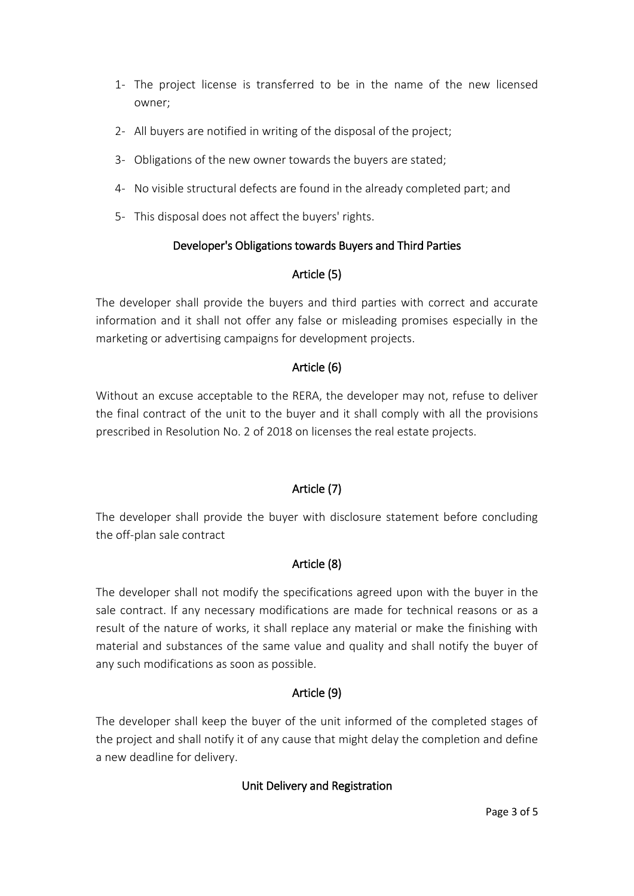- 1- The project license is transferred to be in the name of the new licensed owner;
- 2- All buyers are notified in writing of the disposal of the project;
- 3- Obligations of the new owner towards the buyers are stated;
- 4- No visible structural defects are found in the already completed part; and
- 5- This disposal does not affect the buyers' rights.

## Developer's Obligations towards Buyers and Third Parties

# Article (5)

The developer shall provide the buyers and third parties with correct and accurate information and it shall not offer any false or misleading promises especially in the marketing or advertising campaigns for development projects.

## Article (6)

Without an excuse acceptable to the RERA, the developer may not, refuse to deliver the final contract of the unit to the buyer and it shall comply with all the provisions prescribed in Resolution No. 2 of 2018 on licenses the real estate projects.

# Article (7)

The developer shall provide the buyer with disclosure statement before concluding the off-plan sale contract

# Article (8)

The developer shall not modify the specifications agreed upon with the buyer in the sale contract. If any necessary modifications are made for technical reasons or as a result of the nature of works, it shall replace any material or make the finishing with material and substances of the same value and quality and shall notify the buyer of any such modifications as soon as possible.

# Article (9)

The developer shall keep the buyer of the unit informed of the completed stages of the project and shall notify it of any cause that might delay the completion and define a new deadline for delivery.

# Unit Delivery and Registration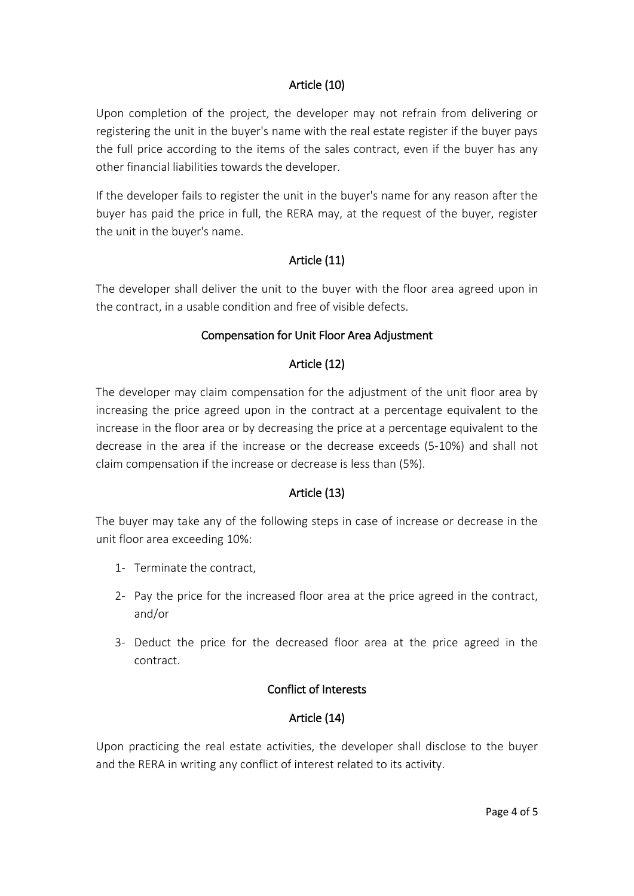## Article (10)

Upon completion of the project, the developer may not refrain from delivering or registering the unit in the buyer's name with the real estate register if the buyer pays the full price according to the items of the sales contract, even if the buyer has any other financial liabilities towards the developer.

If the developer fails to register the unit in the buyer's name for any reason after the buyer has paid the price in full, the RERA may, at the request of the buyer, register the unit in the buyer's name.

#### Article (11)

The developer shall deliver the unit to the buyer with the floor area agreed upon in the contract, in a usable condition and free of visible defects.

#### Compensation for Unit Floor Area Adjustment

#### Article (12)

The developer may claim compensation for the adjustment of the unit floor area by increasing the price agreed upon in the contract at a percentage equivalent to the increase in the floor area or by decreasing the price at a percentage equivalent to the decrease in the area if the increase or the decrease exceeds (5-10%) and shall not claim compensation if the increase or decrease is less than (5%).

#### Article (13)

The buyer may take any of the following steps in case of increase or decrease in the unit floor area exceeding 10%:

- 1- Terminate the contract,
- 2- Pay the price for the increased floor area at the price agreed in the contract, and/or
- 3- Deduct the price for the decreased floor area at the price agreed in the contract.

#### Conflict of Interests

#### Article (14)

Upon practicing the real estate activities, the developer shall disclose to the buyer and the RERA in writing any conflict of interest related to its activity.